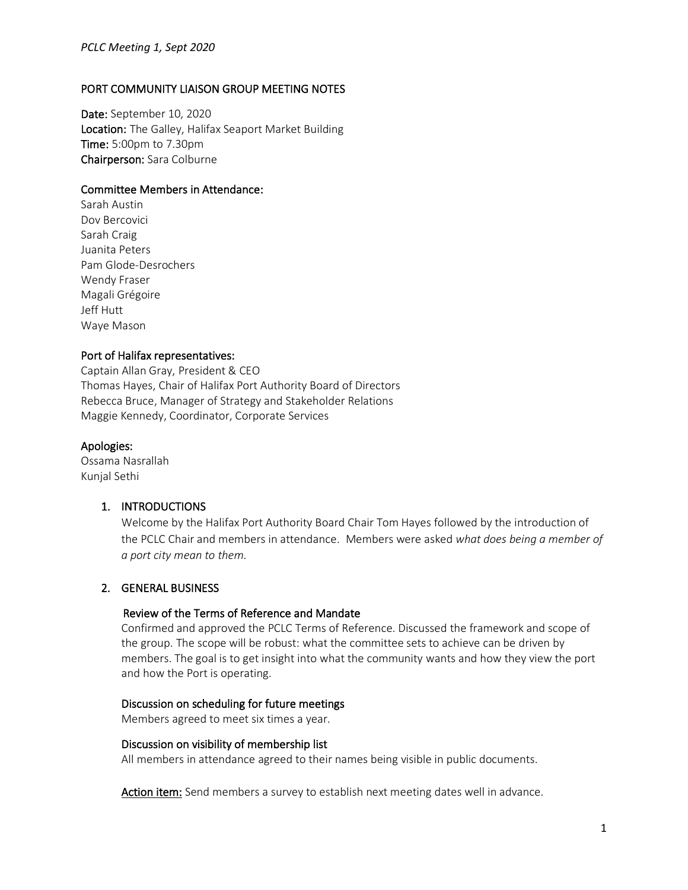# PORT COMMUNITY LIAISON GROUP MEETING NOTES

Date: September 10, 2020 Location: The Galley, Halifax Seaport Market Building Time: 5:00pm to 7.30pm Chairperson: Sara Colburne

# Committee Members in Attendance:

Sarah Austin Dov Bercovici Sarah Craig Juanita Peters Pam Glode-Desrochers Wendy Fraser Magali Grégoire Jeff Hutt Waye Mason

# Port of Halifax representatives:

Captain Allan Gray, President & CEO Thomas Hayes, Chair of Halifax Port Authority Board of Directors Rebecca Bruce, Manager of Strategy and Stakeholder Relations Maggie Kennedy, Coordinator, Corporate Services

# Apologies:

Ossama Nasrallah Kunjal Sethi

# 1. INTRODUCTIONS

Welcome by the Halifax Port Authority Board Chair Tom Hayes followed by the introduction of the PCLC Chair and members in attendance. Members were asked *what does being a member of a port city mean to them.*

# 2. GENERAL BUSINESS

# Review of the Terms of Reference and Mandate

Confirmed and approved the PCLC Terms of Reference. Discussed the framework and scope of the group. The scope will be robust: what the committee sets to achieve can be driven by members. The goal is to get insight into what the community wants and how they view the port and how the Port is operating.

# Discussion on scheduling for future meetings

Members agreed to meet six times a year.

#### Discussion on visibility of membership list

All members in attendance agreed to their names being visible in public documents.

Action item: Send members a survey to establish next meeting dates well in advance.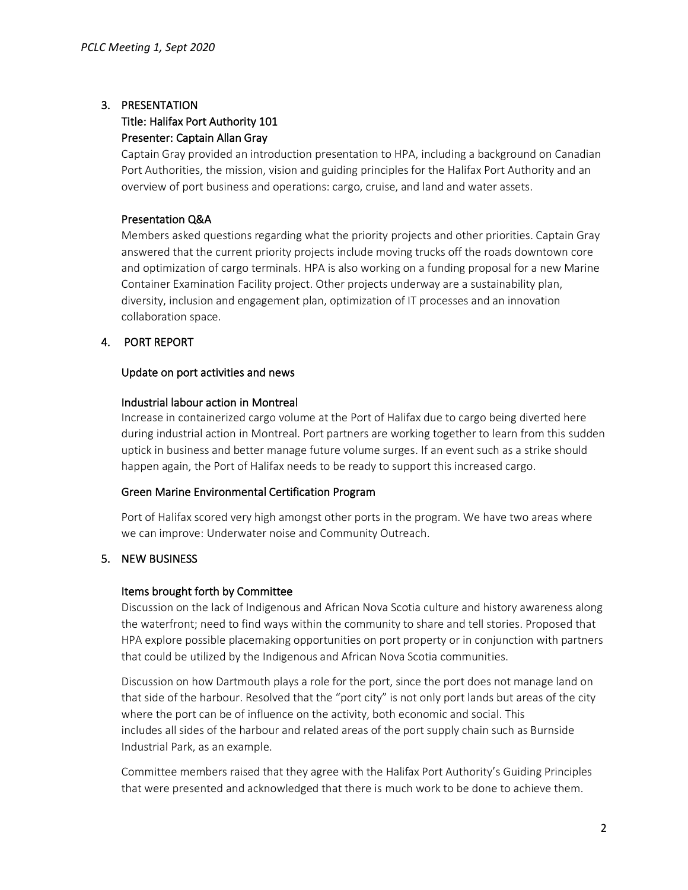# 3. PRESENTATION

# Title: Halifax Port Authority 101 Presenter: Captain Allan Gray

Captain Gray provided an introduction presentation to HPA, including a background on Canadian Port Authorities, the mission, vision and guiding principles for the Halifax Port Authority and an overview of port business and operations: cargo, cruise, and land and water assets.

# Presentation Q&A

Members asked questions regarding what the priority projects and other priorities. Captain Gray answered that the current priority projects include moving trucks off the roads downtown core and optimization of cargo terminals. HPA is also working on a funding proposal for a new Marine Container Examination Facility project. Other projects underway are a sustainability plan, diversity, inclusion and engagement plan, optimization of IT processes and an innovation collaboration space.

# 4. PORT REPORT

# Update on port activities and news

# Industrial labour action in Montreal

Increase in containerized cargo volume at the Port of Halifax due to cargo being diverted here during industrial action in Montreal. Port partners are working together to learn from this sudden uptick in business and better manage future volume surges. If an event such as a strike should happen again, the Port of Halifax needs to be ready to support this increased cargo.

# Green Marine Environmental Certification Program

Port of Halifax scored very high amongst other ports in the program. We have two areas where we can improve: Underwater noise and Community Outreach.

# 5. NEW BUSINESS

# Items brought forth by Committee

Discussion on the lack of Indigenous and African Nova Scotia culture and history awareness along the waterfront; need to find ways within the community to share and tell stories. Proposed that HPA explore possible placemaking opportunities on port property or in conjunction with partners that could be utilized by the Indigenous and African Nova Scotia communities.

Discussion on how Dartmouth plays a role for the port, since the port does not manage land on that side of the harbour. Resolved that the "port city" is not only port lands but areas of the city where the port can be of influence on the activity, both economic and social. This includes all sides of the harbour and related areas of the port supply chain such as Burnside Industrial Park, as an example. 

Committee members raised that they agree with the Halifax Port Authority's Guiding Principles that were presented and acknowledged that there is much work to be done to achieve them.